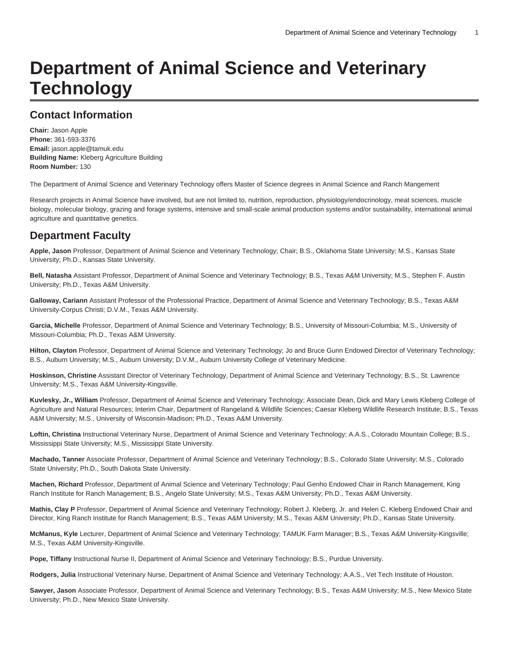# **Department of Animal Science and Veterinary Technology**

# **Contact Information**

**Chair:** Jason Apple **Phone:** 361-593-3376 **Email:** [jason.apple@tamuk.edu](mailto:jason.apple@tamuk.edu) **Building Name:** Kleberg Agriculture Building **Room Number:** 130

The Department of Animal Science and Veterinary Technology offers Master of Science degrees in Animal Science and Ranch Mangement

Research projects in Animal Science have involved, but are not limited to, nutrition, reproduction, physiology/endocrinology, meat sciences, muscle biology, molecular biology, grazing and forage systems, intensive and small-scale animal production systems and/or sustainability, international animal agriculture and quantitative genetics.

# **Department Faculty**

**Apple, Jason** Professor, Department of Animal Science and Veterinary Technology; Chair; B.S., Oklahoma State University; M.S., Kansas State University; Ph.D., Kansas State University.

**Bell, Natasha** Assistant Professor, Department of Animal Science and Veterinary Technology; B.S., Texas A&M University; M.S., Stephen F. Austin University; Ph.D., Texas A&M University.

**Galloway, Cariann** Assistant Professor of the Professional Practice, Department of Animal Science and Veterinary Technology; B.S., Texas A&M University-Corpus Christi; D.V.M., Texas A&M University.

**Garcia, Michelle** Professor, Department of Animal Science and Veterinary Technology; B.S., University of Missouri-Columbia; M.S., University of Missouri-Columbia; Ph.D., Texas A&M University.

**Hilton, Clayton** Professor, Department of Animal Science and Veterinary Technology; Jo and Bruce Gunn Endowed Director of Veterinary Technology; B.S., Auburn University; M.S., Auburn University; D.V.M., Auburn University College of Veterinary Medicine.

**Hoskinson, Christine** Assistant Director of Veterinary Technology, Department of Animal Science and Veterinary Technology; B.S., St. Lawrence University; M.S., Texas A&M University-Kingsville.

**Kuvlesky, Jr., William** Professor, Department of Animal Science and Veterinary Technology; Associate Dean, Dick and Mary Lewis Kleberg College of Agriculture and Natural Resources; Interim Chair, Department of Rangeland & Wildlife Sciences; Caesar Kleberg Wildlife Research Institute; B.S., Texas A&M University; M.S., University of Wisconsin-Madison; Ph.D., Texas A&M University.

**Loftin, Christina** Instructional Veterinary Nurse, Department of Animal Science and Veterinary Technology; A.A.S., Colorado Mountain College; B.S., Mississippi State University; M.S., Mississippi State University.

**Machado, Tanner** Associate Professor, Department of Animal Science and Veterinary Technology; B.S., Colorado State University; M.S., Colorado State University; Ph.D., South Dakota State University.

**Machen, Richard** Professor, Department of Animal Science and Veterinary Technology; Paul Genho Endowed Chair in Ranch Management, King Ranch Institute for Ranch Management; B.S., Angelo State University; M.S., Texas A&M University; Ph.D., Texas A&M University.

**Mathis, Clay P** Professor, Department of Animal Science and Veterinary Technology; Robert J. Kleberg, Jr. and Helen C. Kleberg Endowed Chair and Director, King Ranch Institute for Ranch Management; B.S., Texas A&M University; M.S., Texas A&M University; Ph.D., Kansas State University.

**McManus, Kyle** Lecturer, Department of Animal Science and Veterinary Technology; TAMUK Farm Manager; B.S., Texas A&M University-Kingsville; M.S., Texas A&M University-Kingsville.

**Pope, Tiffany** Instructional Nurse II, Department of Animal Science and Veterinary Technology; B.S., Purdue University.

**Rodgers, Julia** Instructional Veterinary Nurse, Department of Animal Science and Veterinary Technology; A.A.S., Vet Tech Institute of Houston.

**Sawyer, Jason** Associate Professor, Department of Animal Science and Veterinary Technology; B.S., Texas A&M University; M.S., New Mexico State University; Ph.D., New Mexico State University.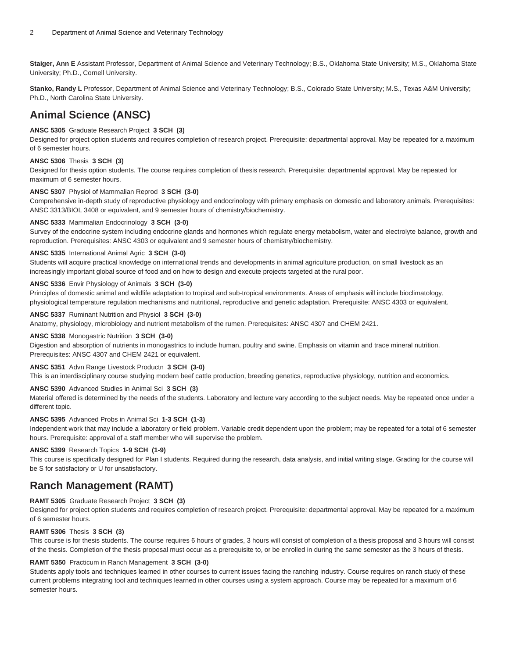**Staiger, Ann E** Assistant Professor, Department of Animal Science and Veterinary Technology; B.S., Oklahoma State University; M.S., Oklahoma State University; Ph.D., Cornell University.

**Stanko, Randy L** Professor, Department of Animal Science and Veterinary Technology; B.S., Colorado State University; M.S., Texas A&M University; Ph.D., North Carolina State University.

# **Animal Science (ANSC)**

# **ANSC 5305** Graduate Research Project **3 SCH (3)**

Designed for project option students and requires completion of research project. Prerequisite: departmental approval. May be repeated for a maximum of 6 semester hours.

# **ANSC 5306** Thesis **3 SCH (3)**

Designed for thesis option students. The course requires completion of thesis research. Prerequisite: departmental approval. May be repeated for maximum of 6 semester hours.

# **ANSC 5307** Physiol of Mammalian Reprod **3 SCH (3-0)**

Comprehensive in-depth study of reproductive physiology and endocrinology with primary emphasis on domestic and laboratory animals. Prerequisites: ANSC 3313/BIOL 3408 or equivalent, and 9 semester hours of chemistry/biochemistry.

## **ANSC 5333** Mammalian Endocrinology **3 SCH (3-0)**

Survey of the endocrine system including endocrine glands and hormones which regulate energy metabolism, water and electrolyte balance, growth and reproduction. Prerequisites: ANSC 4303 or equivalent and 9 semester hours of chemistry/biochemistry.

## **ANSC 5335** International Animal Agric **3 SCH (3-0)**

Students will acquire practical knowledge on international trends and developments in animal agriculture production, on small livestock as an increasingly important global source of food and on how to design and execute projects targeted at the rural poor.

# **ANSC 5336** Envir Physiology of Animals **3 SCH (3-0)**

Principles of domestic animal and wildlife adaptation to tropical and sub-tropical environments. Areas of emphasis will include bioclimatology, physiological temperature regulation mechanisms and nutritional, reproductive and genetic adaptation. Prerequisite: ANSC 4303 or equivalent.

# **ANSC 5337** Ruminant Nutrition and Physiol **3 SCH (3-0)**

Anatomy, physiology, microbiology and nutrient metabolism of the rumen. Prerequisites: ANSC 4307 and CHEM 2421.

# **ANSC 5338** Monogastric Nutrition **3 SCH (3-0)**

Digestion and absorption of nutrients in monogastrics to include human, poultry and swine. Emphasis on vitamin and trace mineral nutrition. Prerequisites: ANSC 4307 and CHEM 2421 or equivalent.

# **ANSC 5351** Advn Range Livestock Productn **3 SCH (3-0)**

This is an interdisciplinary course studying modern beef cattle production, breeding genetics, reproductive physiology, nutrition and economics.

# **ANSC 5390** Advanced Studies in Animal Sci **3 SCH (3)**

Material offered is determined by the needs of the students. Laboratory and lecture vary according to the subject needs. May be repeated once under a different topic.

# **ANSC 5395** Advanced Probs in Animal Sci **1-3 SCH (1-3)**

Independent work that may include a laboratory or field problem. Variable credit dependent upon the problem; may be repeated for a total of 6 semester hours. Prerequisite: approval of a staff member who will supervise the problem.

# **ANSC 5399** Research Topics **1-9 SCH (1-9)**

This course is specifically designed for Plan I students. Required during the research, data analysis, and initial writing stage. Grading for the course will be S for satisfactory or U for unsatisfactory.

# **Ranch Management (RAMT)**

# **RAMT 5305** Graduate Research Project **3 SCH (3)**

Designed for project option students and requires completion of research project. Prerequisite: departmental approval. May be repeated for a maximum of 6 semester hours.

# **RAMT 5306** Thesis **3 SCH (3)**

This course is for thesis students. The course requires 6 hours of grades, 3 hours will consist of completion of a thesis proposal and 3 hours will consist of the thesis. Completion of the thesis proposal must occur as a prerequisite to, or be enrolled in during the same semester as the 3 hours of thesis.

# **RAMT 5350** Practicum in Ranch Management **3 SCH (3-0)**

Students apply tools and techniques learned in other courses to current issues facing the ranching industry. Course requires on ranch study of these current problems integrating tool and techniques learned in other courses using a system approach. Course may be repeated for a maximum of 6 semester hours.